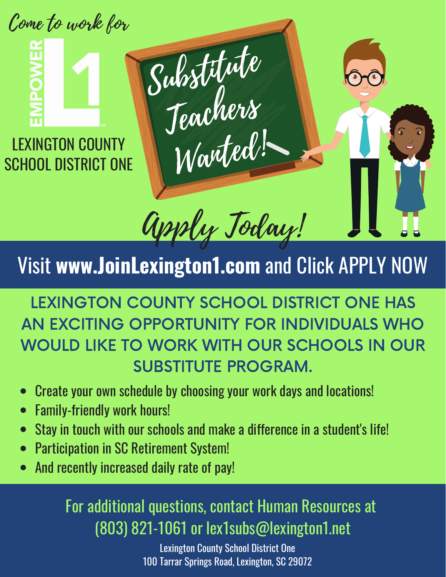Come to work for

LEXINGTON COUNTY SCHOOL DISTRICT ONE



## Visit **www.JoinLexington1.com** and Click APPLY NOW

Substitute

Jeachers

Wanted!

LEXINGTON COUNTY SCHOOL DISTRICT ONE HAS AN EXCITING OPPORTUNITY FOR INDIVIDUALS WHO WOULD LIKE TO WORK WITH OUR SCHOOLS IN OUR SUBSTITUTE PROGRAM.

- Create your own schedule by choosing your work days and locations!  $\bullet$
- Family-friendly work hours!
- Stay in touch with our schools and make a difference in a student's life!  $\bullet$
- Participation in SC Retirement System!
- And recently increased daily rate of pay!

### For additional questions, contact Human Resources at (803) 821-1061 or lex1subs@lexington1.net

Lexington County School District One 100 Tarrar Springs Road, Lexington, SC 29072